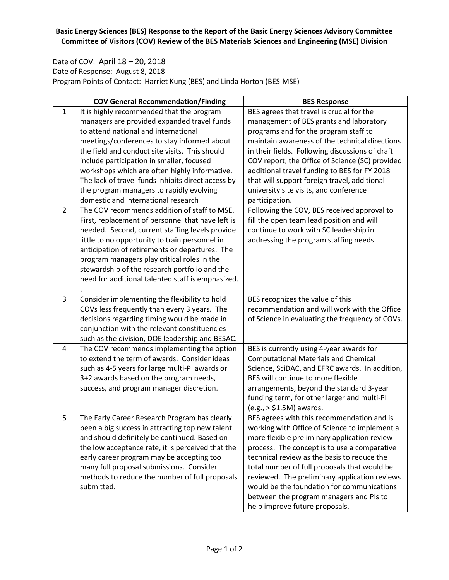## **Basic Energy Sciences (BES) Response to the Report of the Basic Energy Sciences Advisory Committee Committee of Visitors (COV) Review of the BES Materials Sciences and Engineering (MSE) Division**

Date of COV: April 18 – 20, 2018 Date of Response: August 8, 2018 Program Points of Contact: Harriet Kung (BES) and Linda Horton (BES-MSE)

|                | <b>COV General Recommendation/Finding</b>                    | <b>BES Response</b>                                                                         |
|----------------|--------------------------------------------------------------|---------------------------------------------------------------------------------------------|
| $\mathbf{1}$   | It is highly recommended that the program                    | BES agrees that travel is crucial for the                                                   |
|                | managers are provided expanded travel funds                  | management of BES grants and laboratory                                                     |
|                | to attend national and international                         | programs and for the program staff to                                                       |
|                | meetings/conferences to stay informed about                  | maintain awareness of the technical directions                                              |
|                | the field and conduct site visits. This should               | in their fields. Following discussions of draft                                             |
|                | include participation in smaller, focused                    | COV report, the Office of Science (SC) provided                                             |
|                | workshops which are often highly informative.                | additional travel funding to BES for FY 2018                                                |
|                | The lack of travel funds inhibits direct access by           | that will support foreign travel, additional                                                |
|                | the program managers to rapidly evolving                     | university site visits, and conference                                                      |
|                | domestic and international research                          | participation.                                                                              |
| $\overline{2}$ | The COV recommends addition of staff to MSE.                 | Following the COV, BES received approval to                                                 |
|                | First, replacement of personnel that have left is            | fill the open team lead position and will                                                   |
|                | needed. Second, current staffing levels provide              | continue to work with SC leadership in                                                      |
|                | little to no opportunity to train personnel in               | addressing the program staffing needs.                                                      |
|                | anticipation of retirements or departures. The               |                                                                                             |
|                | program managers play critical roles in the                  |                                                                                             |
|                | stewardship of the research portfolio and the                |                                                                                             |
|                | need for additional talented staff is emphasized.            |                                                                                             |
|                |                                                              |                                                                                             |
| 3              | Consider implementing the flexibility to hold                | BES recognizes the value of this                                                            |
|                | COVs less frequently than every 3 years. The                 | recommendation and will work with the Office                                                |
|                | decisions regarding timing would be made in                  | of Science in evaluating the frequency of COVs.                                             |
|                | conjunction with the relevant constituencies                 |                                                                                             |
|                | such as the division, DOE leadership and BESAC.              |                                                                                             |
| 4              | The COV recommends implementing the option                   | BES is currently using 4-year awards for                                                    |
|                | to extend the term of awards. Consider ideas                 | <b>Computational Materials and Chemical</b>                                                 |
|                | such as 4-5 years for large multi-PI awards or               | Science, SciDAC, and EFRC awards. In addition,                                              |
|                | 3+2 awards based on the program needs,                       | BES will continue to more flexible                                                          |
|                | success, and program manager discretion.                     | arrangements, beyond the standard 3-year                                                    |
|                |                                                              | funding term, for other larger and multi-PI                                                 |
|                |                                                              | $(e.g., > $1.5M)$ awards.                                                                   |
| 5              | The Early Career Research Program has clearly                | BES agrees with this recommendation and is                                                  |
|                | been a big success in attracting top new talent              | working with Office of Science to implement a                                               |
|                | and should definitely be continued. Based on                 | more flexible preliminary application review                                                |
|                | the low acceptance rate, it is perceived that the            | process. The concept is to use a comparative                                                |
|                | early career program may be accepting too                    | technical review as the basis to reduce the                                                 |
|                | many full proposal submissions. Consider                     | total number of full proposals that would be                                                |
|                | methods to reduce the number of full proposals<br>submitted. | reviewed. The preliminary application reviews<br>would be the foundation for communications |
|                |                                                              | between the program managers and PIs to                                                     |
|                |                                                              |                                                                                             |
|                |                                                              | help improve future proposals.                                                              |